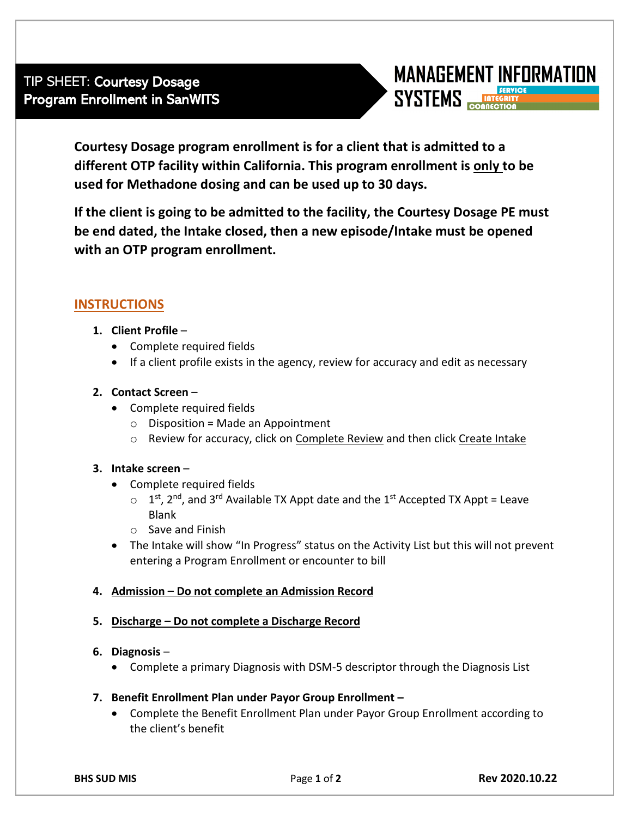

**Courtesy Dosage program enrollment is for a client that is admitted to a different OTP facility within California. This program enrollment is only to be used for Methadone dosing and can be used up to 30 days.** 

**If the client is going to be admitted to the facility, the Courtesy Dosage PE must be end dated, the Intake closed, then a new episode/Intake must be opened with an OTP program enrollment.**

# **INSTRUCTIONS**

- **1. Client Profile**
	- Complete required fields
	- If a client profile exists in the agency, review for accuracy and edit as necessary

## **2. Contact Screen** –

- Complete required fields
	- $\circ$  Disposition = Made an Appointment
	- $\circ$  Review for accuracy, click on Complete Review and then click Create Intake

## **3. Intake screen** –

- Complete required fields
	- $\circ$  1<sup>st</sup>, 2<sup>nd</sup>, and 3<sup>rd</sup> Available TX Appt date and the 1<sup>st</sup> Accepted TX Appt = Leave Blank
	- o Save and Finish
- The Intake will show "In Progress" status on the Activity List but this will not prevent entering a Program Enrollment or encounter to bill

## **4. Admission – Do not complete an Admission Record**

## **5. Discharge – Do not complete a Discharge Record**

## **6. Diagnosis** –

- Complete a primary Diagnosis with DSM-5 descriptor through the Diagnosis List
- **7. Benefit Enrollment Plan under Payor Group Enrollment –**
	- Complete the Benefit Enrollment Plan under Payor Group Enrollment according to the client's benefit